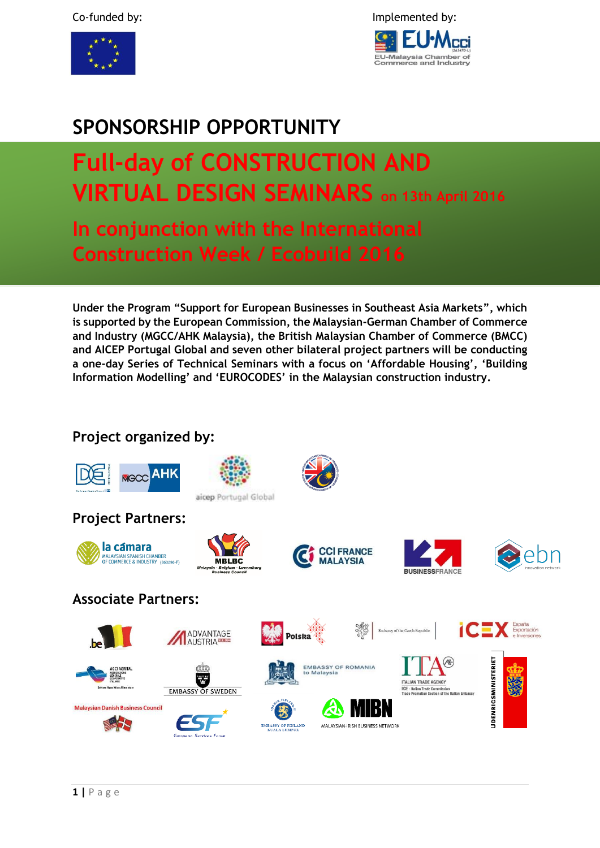



## **SPONSORSHIP OPPORTUNITY**

# **Full-day of CONSTRUCTION AND VIRTUAL DESIGN SEMINARS on 13th April 2016**

**In conjunction with the International Construction Week / Ecobuild 2016**

**Under the Program "Support for European Businesses in Southeast Asia Markets", which is supported by the European Commission, the Malaysian-German Chamber of Commerce and Industry (MGCC/AHK Malaysia), the British Malaysian Chamber of Commerce (BMCC) and AICEP Portugal Global and seven other bilateral project partners will be conducting a one-day Series of Technical Seminars with a focus on 'Affordable Housing', 'Building Information Modelling' and 'EUROCODES' in the Malaysian construction industry.**

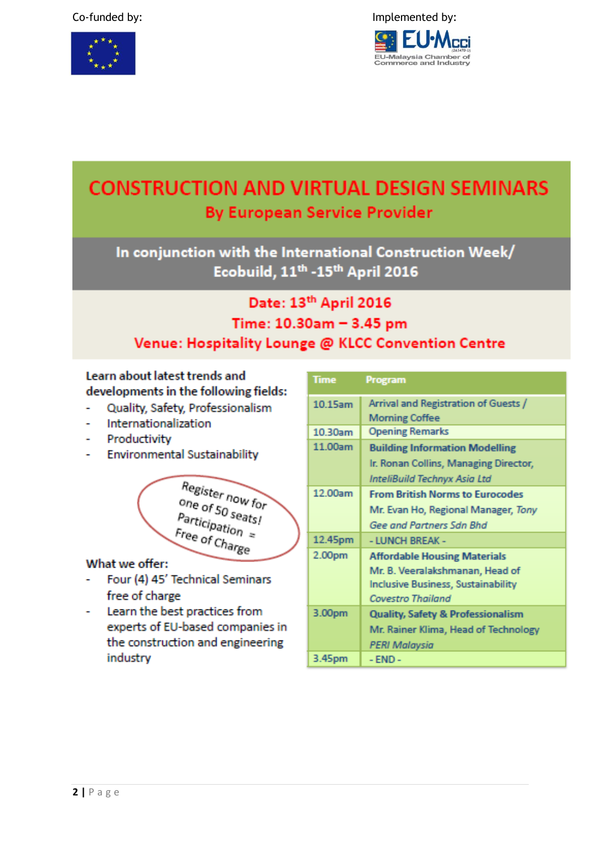

## **CONSTRUCTION AND VIRTUAL DESIGN SEMINARS By European Service Provider**

In conjunction with the International Construction Week/ Ecobuild, 11<sup>th</sup> -15<sup>th</sup> April 2016

## Date: 13th April 2016 Time: 10.30am - 3.45 pm Venue: Hospitality Lounge @ KLCC Convention Centre

### Learn about latest trends and developments in the following fields:

- Quality, Safety, Professionalism
- Internationalization
- Productivity
- **Environmental Sustainability**

Register now for one of 50 seats!  $P$ articipation  $\approx$ Free of Charge

#### What we offer:

- Four (4) 45' Technical Seminars  $\overline{a}$ free of charge
- Learn the best practices from experts of EU-based companies in the construction and engineering industry

| <b>Time</b> | Program                                      |
|-------------|----------------------------------------------|
| $10.15$ am  | Arrival and Registration of Guests /         |
|             | <b>Morning Coffee</b>                        |
| 10.30am     | <b>Opening Remarks</b>                       |
| 11.00am     | <b>Building Information Modelling</b>        |
|             | Ir. Ronan Collins, Managing Director,        |
|             | InteliBuild Technyx Asia Ltd                 |
| 12.00am     | <b>From British Norms to Eurocodes</b>       |
|             | Mr. Evan Ho, Regional Manager, Tony          |
|             | Gee and Partners Sdn Bhd                     |
| 12.45pm     | - LUNCH BREAK -                              |
| 2.00pm      | <b>Affordable Housing Materials</b>          |
|             | Mr. B. Veeralakshmanan, Head of              |
|             | <b>Inclusive Business, Sustainability</b>    |
|             | <b>Covestro Thailand</b>                     |
| 3.00pm      | <b>Quality, Safety &amp; Professionalism</b> |
|             | Mr. Rainer Klima, Head of Technology         |
|             | PERI Malaysia                                |
| 3.45pm      | $-$ END $-$                                  |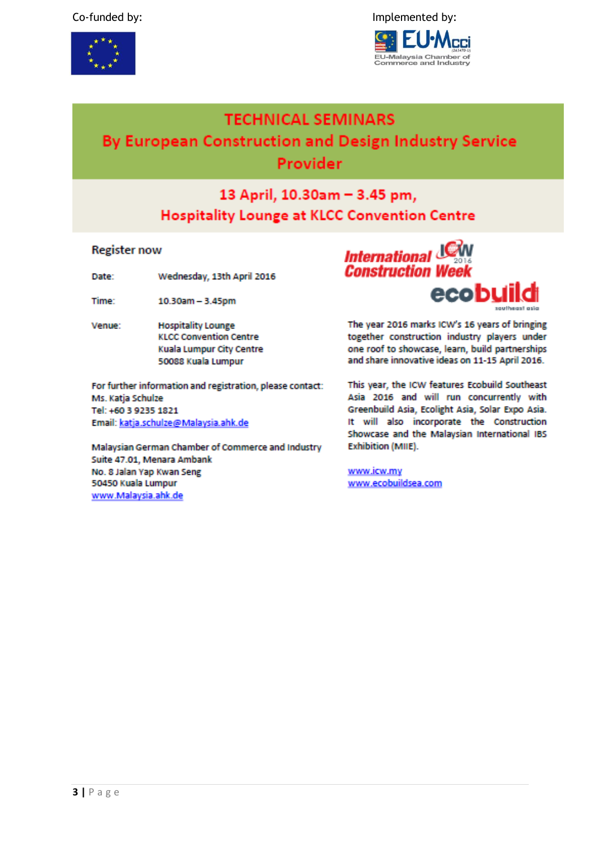

Implemented by:



### **TECHNICAL SEMINARS**

## By European Construction and Design Industry Service Provider

## 13 April, 10.30am - 3.45 pm, **Hospitality Lounge at KLCC Convention Centre**

#### **Register now**

Wednesday, 13th April 2016 Date:

Time: 10.30am - 3.45pm

**Hospitality Lounge** Venue: **KLCC Convention Centre** Kuala Lumpur City Centre 50088 Kuala Lumpur

For further information and registration, please contact: Ms. Katja Schulze Tel: +60 3 9235 1821 Email: katja.schulze@Malaysia.ahk.de

Malaysian German Chamber of Commerce and Industry Suite 47.01, Menara Ambank No. 8 Jalan Yap Kwan Seng 50450 Kuala Lumpur www.Malaysia.ahk.de



The year 2016 marks ICW's 16 years of bringing together construction industry players under one roof to showcase, learn, build partnerships and share innovative ideas on 11-15 April 2016.

This year, the ICW features Ecobuild Southeast Asia 2016 and will run concurrently with Greenbuild Asia, Ecolight Asia, Solar Expo Asia. It will also incorporate the Construction Showcase and the Malaysian International IBS Exhibition (MIIE).

www.icw.my www.ecobuildsea.com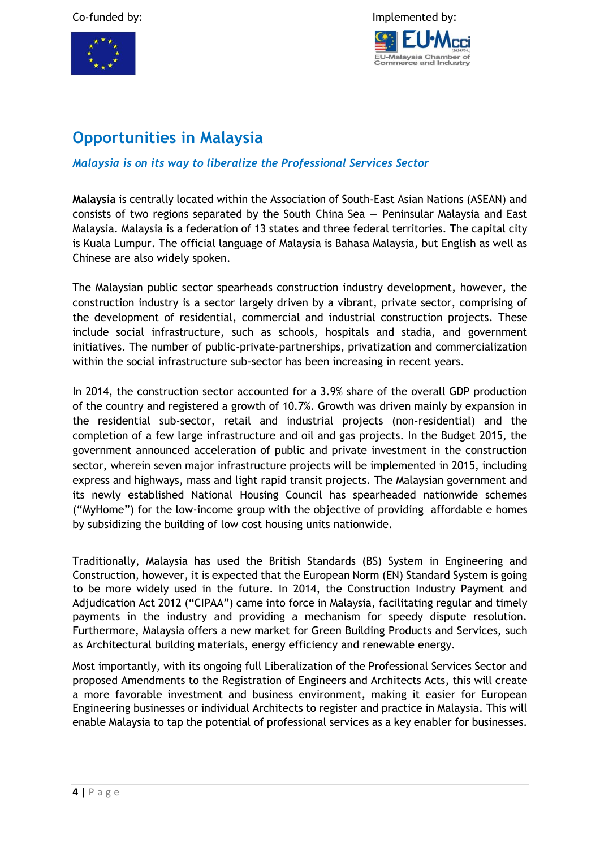



## **Opportunities in Malaysia**

#### *Malaysia is on its way to liberalize the Professional Services Sector*

**Malaysia** is centrally located within the Association of South-East Asian Nations (ASEAN) and consists of two regions separated by the South China Sea — Peninsular Malaysia and East Malaysia. Malaysia is a federation of 13 states and three federal territories. The capital city is Kuala Lumpur. The official language of Malaysia is Bahasa Malaysia, but English as well as Chinese are also widely spoken.

The Malaysian public sector spearheads construction industry development, however, the construction industry is a sector largely driven by a vibrant, private sector, comprising of the development of residential, commercial and industrial construction projects. These include social infrastructure, such as schools, hospitals and stadia, and government initiatives. The number of public-private-partnerships, privatization and commercialization within the social infrastructure sub-sector has been increasing in recent years.

In 2014, the construction sector accounted for a 3.9% share of the overall GDP production of the country and registered a growth of 10.7%. Growth was driven mainly by expansion in the residential sub-sector, retail and industrial projects (non-residential) and the completion of a few large infrastructure and oil and gas projects. In the Budget 2015, the government announced acceleration of public and private investment in the construction sector, wherein seven major infrastructure projects will be implemented in 2015, including express and highways, mass and light rapid transit projects. The Malaysian government and its newly established National Housing Council has spearheaded nationwide schemes ("MyHome") for the low-income group with the objective of providing affordable e homes by subsidizing the building of low cost housing units nationwide.

Traditionally, Malaysia has used the British Standards (BS) System in Engineering and Construction, however, it is expected that the European Norm (EN) Standard System is going to be more widely used in the future. In 2014, the Construction Industry Payment and Adjudication Act 2012 ("CIPAA") came into force in Malaysia, facilitating regular and timely payments in the industry and providing a mechanism for speedy dispute resolution. Furthermore, Malaysia offers a new market for Green Building Products and Services, such as Architectural building materials, energy efficiency and renewable energy.

Most importantly, with its ongoing full Liberalization of the Professional Services Sector and proposed Amendments to the Registration of Engineers and Architects Acts, this will create a more favorable investment and business environment, making it easier for European Engineering businesses or individual Architects to register and practice in Malaysia. This will enable Malaysia to tap the potential of professional services as a key enabler for businesses.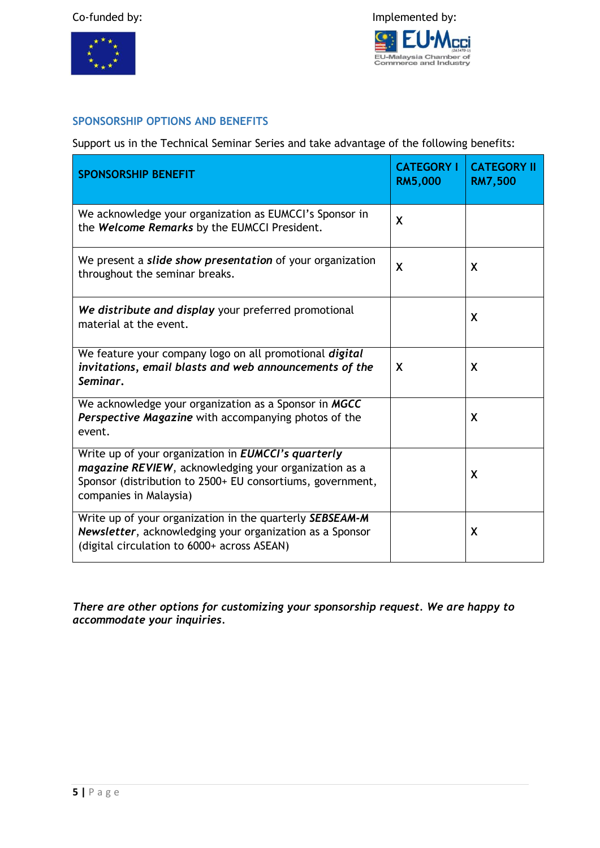

#### **SPONSORSHIP OPTIONS AND BENEFITS**

Support us in the Technical Seminar Series and take advantage of the following benefits:

| <b>SPONSORSHIP BENEFIT</b>                                                                                                                                                                                  | <b>CATEGORY I</b><br><b>RM5,000</b> | <b>CATEGORY II</b><br><b>RM7,500</b> |
|-------------------------------------------------------------------------------------------------------------------------------------------------------------------------------------------------------------|-------------------------------------|--------------------------------------|
| We acknowledge your organization as EUMCCI's Sponsor in<br>the Welcome Remarks by the EUMCCI President.                                                                                                     | X                                   |                                      |
| We present a slide show presentation of your organization<br>throughout the seminar breaks.                                                                                                                 | X                                   | X                                    |
| We distribute and display your preferred promotional<br>material at the event.                                                                                                                              |                                     | X                                    |
| We feature your company logo on all promotional digital<br>invitations, email blasts and web announcements of the<br>Seminar.                                                                               | X                                   | X                                    |
| We acknowledge your organization as a Sponsor in MGCC<br>Perspective Magazine with accompanying photos of the<br>event.                                                                                     |                                     | X                                    |
| Write up of your organization in <b>EUMCCI's quarterly</b><br>magazine REVIEW, acknowledging your organization as a<br>Sponsor (distribution to 2500+ EU consortiums, government,<br>companies in Malaysia) |                                     | X                                    |
| Write up of your organization in the quarterly SEBSEAM-M<br>Newsletter, acknowledging your organization as a Sponsor<br>(digital circulation to 6000+ across ASEAN)                                         |                                     | X                                    |

*There are other options for customizing your sponsorship request. We are happy to accommodate your inquiries.*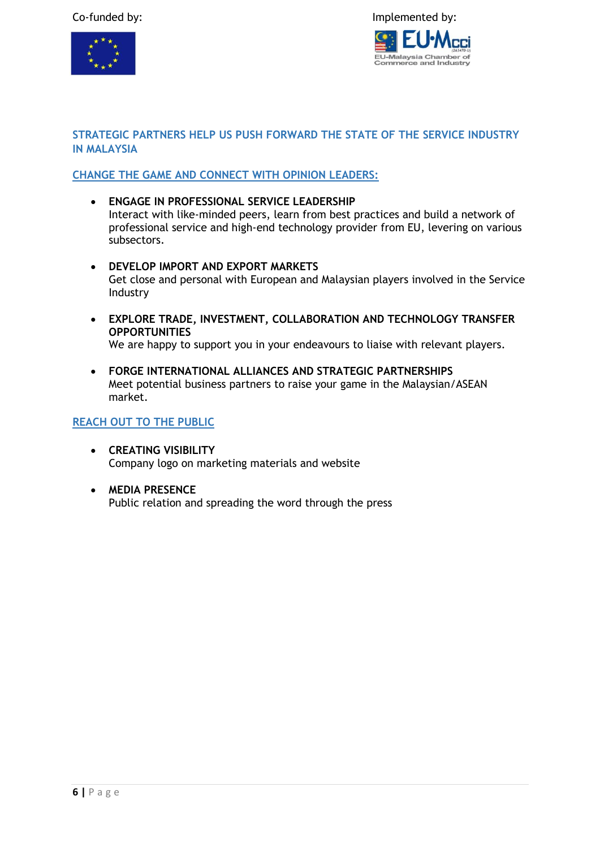#### Co-funded by: Implemented by:





#### **STRATEGIC PARTNERS HELP US PUSH FORWARD THE STATE OF THE SERVICE INDUSTRY IN MALAYSIA**

#### **CHANGE THE GAME AND CONNECT WITH OPINION LEADERS:**

- **ENGAGE IN PROFESSIONAL SERVICE LEADERSHIP** Interact with like-minded peers, learn from best practices and build a network of professional service and high-end technology provider from EU, levering on various subsectors.
- **DEVELOP IMPORT AND EXPORT MARKETS** Get close and personal with European and Malaysian players involved in the Service Industry
- **EXPLORE TRADE, INVESTMENT, COLLABORATION AND TECHNOLOGY TRANSFER OPPORTUNITIES** We are happy to support you in your endeavours to liaise with relevant players.
- **FORGE INTERNATIONAL ALLIANCES AND STRATEGIC PARTNERSHIPS**  Meet potential business partners to raise your game in the Malaysian/ASEAN market.

#### **REACH OUT TO THE PUBLIC**

- **CREATING VISIBILITY**  Company logo on marketing materials and website
- **MEDIA PRESENCE** Public relation and spreading the word through the press